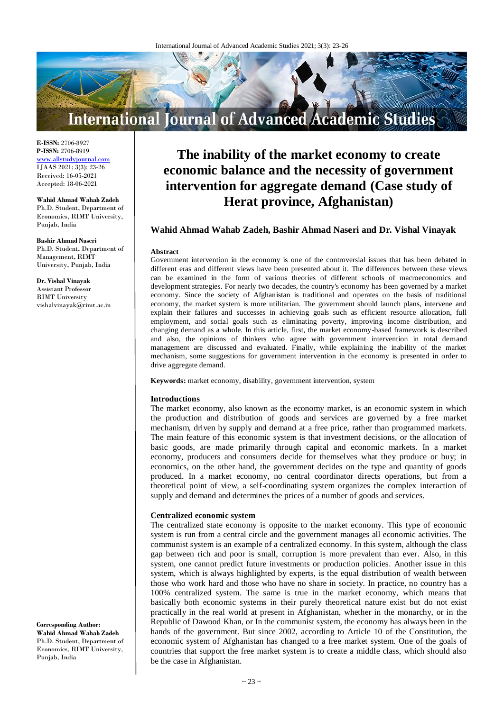

**E-ISSN:** 2706-8927 **P-ISSN:** 2706-8919 <www.allstudyjournal.com> IJAAS 2021; 3(3): 23-26 Received: 16-05-2021 Accepted: 18-06-2021

#### **Wahid Ahmad Wahab Zadeh**

Ph.D. Student, Department of Economics, RIMT University, Punjab, India

# **Bashir Ahmad Naseri**

Ph.D. Student, Department of Management, RIMT University, Punjab, India

#### **Dr. Vishal Vinayak** Assistant Professor RIMT University vishalvinayak@rimt.ac.in

**Corresponding Author: Wahid Ahmad Wahab Zadeh** Ph.D. Student, Department of Economics, RIMT University, Punjab, India

# **The inability of the market economy to create economic balance and the necessity of government intervention for aggregate demand (Case study of Herat province, Afghanistan)**

# **Wahid Ahmad Wahab Zadeh, Bashir Ahmad Naseri and Dr. Vishal Vinayak**

#### **Abstract**

Government intervention in the economy is one of the controversial issues that has been debated in different eras and different views have been presented about it. The differences between these views can be examined in the form of various theories of different schools of macroeconomics and development strategies. For nearly two decades, the country's economy has been governed by a market economy. Since the society of Afghanistan is traditional and operates on the basis of traditional economy, the market system is more utilitarian. The government should launch plans, intervene and explain their failures and successes in achieving goals such as efficient resource allocation, full employment, and social goals such as eliminating poverty, improving income distribution, and changing demand as a whole. In this article, first, the market economy-based framework is described and also, the opinions of thinkers who agree with government intervention in total demand management are discussed and evaluated. Finally, while explaining the inability of the market mechanism, some suggestions for government intervention in the economy is presented in order to drive aggregate demand.

**Keywords:** market economy, disability, government intervention, system

#### **Introductions**

The market economy, also known as the economy market, is an economic system in which the production and distribution of goods and services are governed by a free market mechanism, driven by supply and demand at a free price, rather than programmed markets. The main feature of this economic system is that investment decisions, or the allocation of basic goods, are made primarily through capital and economic markets. In a market economy, producers and consumers decide for themselves what they produce or buy; in economics, on the other hand, the government decides on the type and quantity of goods produced. In a market economy, no central coordinator directs operations, but from a theoretical point of view, a self-coordinating system organizes the complex interaction of supply and demand and determines the prices of a number of goods and services.

#### **Centralized economic system**

The centralized state economy is opposite to the market economy. This type of economic system is run from a central circle and the government manages all economic activities. The communist system is an example of a centralized economy. In this system, although the class gap between rich and poor is small, corruption is more prevalent than ever. Also, in this system, one cannot predict future investments or production policies. Another issue in this system, which is always highlighted by experts, is the equal distribution of wealth between those who work hard and those who have no share in society. In practice, no country has a 100% centralized system. The same is true in the market economy, which means that basically both economic systems in their purely theoretical nature exist but do not exist practically in the real world at present in Afghanistan, whether in the monarchy, or in the Republic of Dawood Khan, or In the communist system, the economy has always been in the hands of the government. But since 2002, according to Article 10 of the Constitution, the economic system of Afghanistan has changed to a free market system. One of the goals of countries that support the free market system is to create a middle class, which should also be the case in Afghanistan.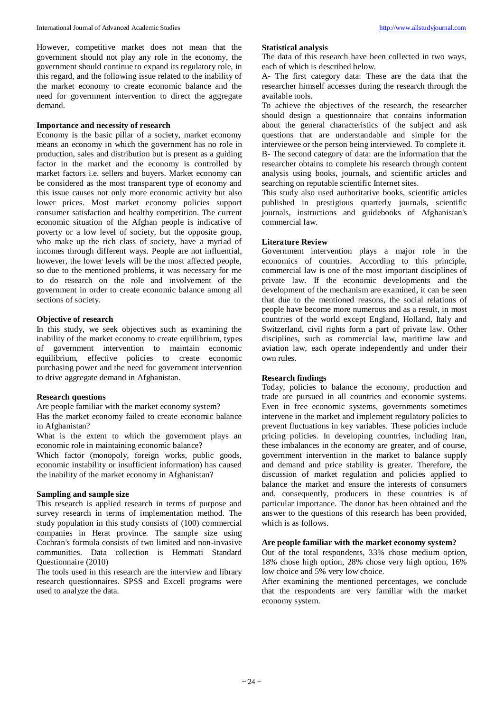However, competitive market does not mean that the government should not play any role in the economy, the government should continue to expand its regulatory role, in this regard, and the following issue related to the inability of the market economy to create economic balance and the need for government intervention to direct the aggregate demand.

#### **Importance and necessity of research**

Economy is the basic pillar of a society, market economy means an economy in which the government has no role in production, sales and distribution but is present as a guiding factor in the market and the economy is controlled by market factors i.e. sellers and buyers. Market economy can be considered as the most transparent type of economy and this issue causes not only more economic activity but also lower prices. Most market economy policies support consumer satisfaction and healthy competition. The current economic situation of the Afghan people is indicative of poverty or a low level of society, but the opposite group, who make up the rich class of society, have a myriad of incomes through different ways. People are not influential, however, the lower levels will be the most affected people, so due to the mentioned problems, it was necessary for me to do research on the role and involvement of the government in order to create economic balance among all sections of society.

# **Objective of research**

In this study, we seek objectives such as examining the inability of the market economy to create equilibrium, types of government intervention to maintain economic equilibrium, effective policies to create economic purchasing power and the need for government intervention to drive aggregate demand in Afghanistan.

#### **Research questions**

Are people familiar with the market economy system? Has the market economy failed to create economic balance in Afghanistan?

What is the extent to which the government plays an economic role in maintaining economic balance?

Which factor (monopoly, foreign works, public goods, economic instability or insufficient information) has caused the inability of the market economy in Afghanistan?

# **Sampling and sample size**

This research is applied research in terms of purpose and survey research in terms of implementation method. The study population in this study consists of (100) commercial companies in Herat province. The sample size using Cochran's formula consists of two limited and non-invasive communities. Data collection is Hemmati Standard Questionnaire (2010)

The tools used in this research are the interview and library research questionnaires. SPSS and Excell programs were used to analyze the data.

#### **Statistical analysis**

The data of this research have been collected in two ways, each of which is described below.

A- The first category data: These are the data that the researcher himself accesses during the research through the available tools.

To achieve the objectives of the research, the researcher should design a questionnaire that contains information about the general characteristics of the subject and ask questions that are understandable and simple for the interviewee or the person being interviewed. To complete it. B- The second category of data: are the information that the researcher obtains to complete his research through content analysis using books, journals, and scientific articles and searching on reputable scientific Internet sites.

This study also used authoritative books, scientific articles published in prestigious quarterly journals, scientific journals, instructions and guidebooks of Afghanistan's commercial law.

# **Literature Review**

Government intervention plays a major role in the economics of countries. According to this principle, commercial law is one of the most important disciplines of private law. If the economic developments and the development of the mechanism are examined, it can be seen that due to the mentioned reasons, the social relations of people have become more numerous and as a result, in most countries of the world except England, Holland, Italy and Switzerland, civil rights form a part of private law. Other disciplines, such as commercial law, maritime law and aviation law, each operate independently and under their own rules.

# **Research findings**

Today, policies to balance the economy, production and trade are pursued in all countries and economic systems. Even in free economic systems, governments sometimes intervene in the market and implement regulatory policies to prevent fluctuations in key variables. These policies include pricing policies. In developing countries, including Iran, these imbalances in the economy are greater, and of course, government intervention in the market to balance supply and demand and price stability is greater. Therefore, the discussion of market regulation and policies applied to balance the market and ensure the interests of consumers and, consequently, producers in these countries is of particular importance. The donor has been obtained and the answer to the questions of this research has been provided, which is as follows.

# **Are people familiar with the market economy system?**

Out of the total respondents, 33% chose medium option, 18% chose high option, 28% chose very high option, 16% low choice and 5% very low choice.

After examining the mentioned percentages, we conclude that the respondents are very familiar with the market economy system.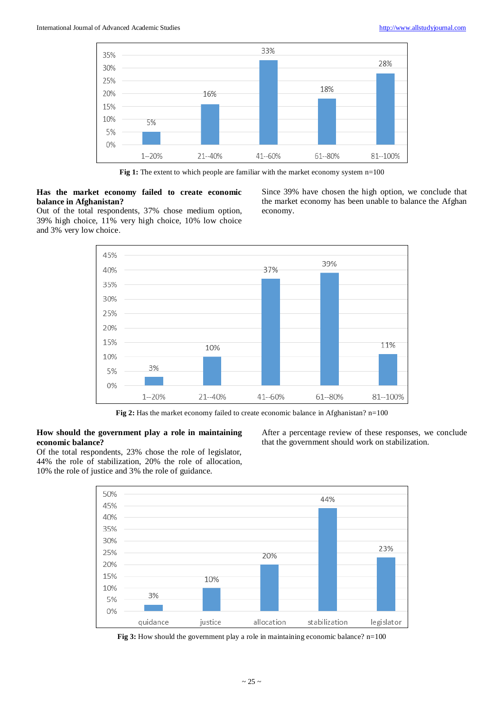

Fig 1: The extent to which people are familiar with the market economy system n=100

# **Has the market economy failed to create economic balance in Afghanistan?**

Since 39% have chosen the high option, we conclude that the market economy has been unable to balance the Afghan economy.

Out of the total respondents, 37% chose medium option, 39% high choice, 11% very high choice, 10% low choice and 3% very low choice.



Fig 2: Has the market economy failed to create economic balance in Afghanistan? n=100

# **How should the government play a role in maintaining economic balance?**

Of the total respondents, 23% chose the role of legislator, 44% the role of stabilization, 20% the role of allocation, 10% the role of justice and 3% the role of guidance.

After a percentage review of these responses, we conclude that the government should work on stabilization.



**Fig 3:** How should the government play a role in maintaining economic balance? n=100